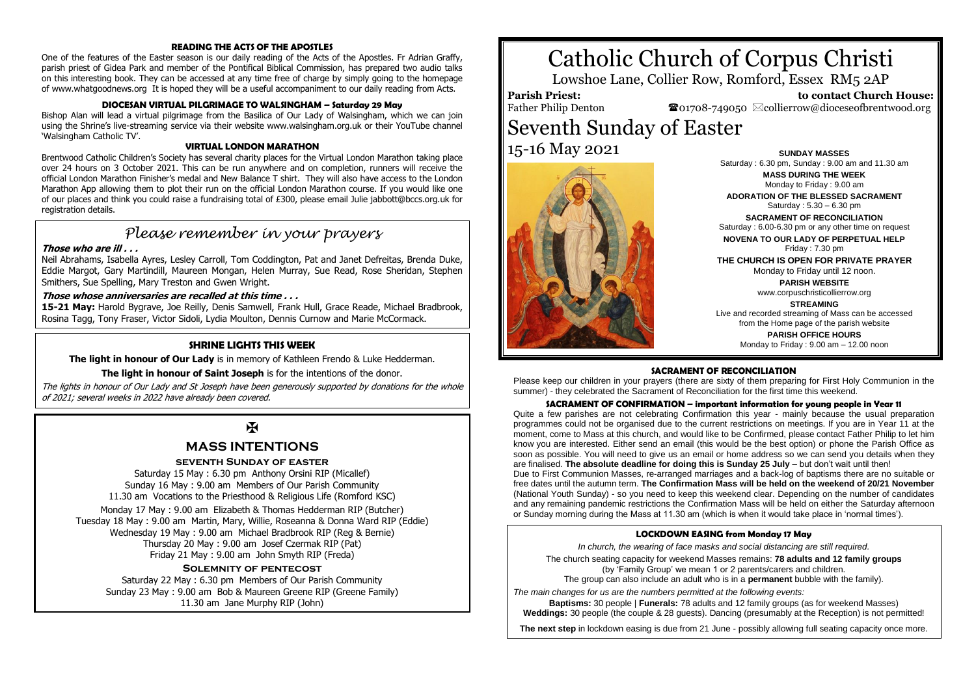#### **READING THE ACTS OF THE APOSTLES**

One of the features of the Easter season is our daily reading of the Acts of the Apostles. Fr Adrian Graffy, parish priest of Gidea Park and member of the Pontifical Biblical Commission, has prepared two audio talks on this interesting book. They can be accessed at any time free of charge by simply going to the homepage of www.whatgoodnews.org It is hoped they will be a useful accompaniment to our daily reading from Acts.

#### **DIOCESAN VIRTUAL PILGRIMAGE TO WALSINGHAM – Saturday 29 May**

Bishop Alan will lead a virtual pilgrimage from the Basilica of Our Lady of Walsingham, which we can join using the Shrine's live-streaming service via their website www.walsingham.org.uk or their YouTube channel 'Walsingham Catholic TV'.

#### **VIRTUAL LONDON MARATHON**

Brentwood Catholic Children's Society has several charity places for the Virtual London Marathon taking place over 24 hours on 3 October 2021. This can be run anywhere and on completion, runners will receive the official London Marathon Finisher's medal and New Balance T shirt. They will also have access to the London Marathon App allowing them to plot their run on the official London Marathon course. If you would like one of our places and think you could raise a fundraising total of £300, please email Julie jabbott@bccs.org.uk for registration details.

## *Please remember in your prayers*

#### **Those who are ill . . .**

Neil Abrahams, Isabella Ayres, Lesley Carroll, Tom Coddington, Pat and Janet Defreitas, Brenda Duke, Eddie Margot, Gary Martindill, Maureen Mongan, Helen Murray, Sue Read, Rose Sheridan, Stephen Smithers, Sue Spelling, Mary Treston and Gwen Wright.

#### **Those whose anniversaries are recalled at this time . . .**

**15-21 May:** Harold Bygrave, Joe Reilly, Denis Samwell, Frank Hull, Grace Reade, Michael Bradbrook, Rosina Tagg, Tony Fraser, Victor Sidoli, Lydia Moulton, Dennis Curnow and Marie McCormack.

#### **SHRINE LIGHTS THIS WEEK**

**The light in honour of Our Lady** is in memory of Kathleen Frendo & Luke Hedderman.

**The light in honour of Saint Joseph** is for the intentions of the donor.

The lights in honour of Our Lady and St Joseph have been generously supported by donations for the whole of 2021; several weeks in 2022 have already been covered.

## $\mathbf F$

### **MASS INTENTIONS**

#### **seventh Sunday of easter**

Saturday 15 May : 6.30 pm Anthony Orsini RIP (Micallef) Sunday 16 May : 9.00 am Members of Our Parish Community 11.30 am Vocations to the Priesthood & Religious Life (Romford KSC)

Monday 17 May : 9.00 am Elizabeth & Thomas Hedderman RIP (Butcher) Tuesday 18 May : 9.00 am Martin, Mary, Willie, Roseanna & Donna Ward RIP (Eddie) Wednesday 19 May : 9.00 am Michael Bradbrook RIP (Reg & Bernie) Thursday 20 May : 9.00 am Josef Czermak RIP (Pat) Friday 21 May : 9.00 am John Smyth RIP (Freda)

#### **Solemnity of pentecost**

Saturday 22 May : 6.30 pm Members of Our Parish Community Sunday 23 May : 9.00 am Bob & Maureen Greene RIP (Greene Family) 11.30 am Jane Murphy RIP (John)

# Catholic Church of Corpus Christi

Lowshoe Lane, Collier Row, Romford, Essex RM5 2AP

**Parish Priest:** Father Philip Denton

 **to contact Church House:**  $\bullet$ 01708-749050  $\boxtimes$ collierrow@dioceseofbrentwood.org

# Seventh Sunday of Easter 15-16 May 2021 **SUNDAY MASSES**



#### Saturday : 6.30 pm, Sunday : 9.00 am and 11.30 am **MASS DURING THE WEEK** Monday to Friday : 9.00 am **ADORATION OF THE BLESSED SACRAMENT** Saturday : 5.30 – 6.30 pm

**SACRAMENT OF RECONCILIATION** Saturday : 6.00-6.30 pm or any other time on request

**NOVENA TO OUR LADY OF PERPETUAL HELP** Friday : 7.30 pm

**THE CHURCH IS OPEN FOR PRIVATE PRAYER** Monday to Friday until 12 noon.

> **PARISH WEBSITE** www.corpuschristicollierrow.org

#### **STREAMING**

Live and recorded streaming of Mass can be accessed from the Home page of the parish website **PARISH OFFICE HOURS** Monday to Friday : 9.00 am – 12.00 noon

#### **SACRAMENT OF RECONCILIATION**

Please keep our children in your prayers (there are sixty of them preparing for First Holy Communion in the summer) - they celebrated the Sacrament of Reconciliation for the first time this weekend.

#### **SACRAMENT OF CONFIRMATION – important information for young people in Year 11**

Quite a few parishes are not celebrating Confirmation this year - mainly because the usual preparation programmes could not be organised due to the current restrictions on meetings. If you are in Year 11 at the moment, come to Mass at this church, and would like to be Confirmed, please contact Father Philip to let him know you are interested. Either send an email (this would be the best option) or phone the Parish Office as soon as possible. You will need to give us an email or home address so we can send you details when they are finalised. **The absolute deadline for doing this is Sunday 25 July** – but don't wait until then! Due to First Communion Masses, re-arranged marriages and a back-log of baptisms there are no suitable or free dates until the autumn term. **The Confirmation Mass will be held on the weekend of 20/21 November** (National Youth Sunday) - so you need to keep this weekend clear. Depending on the number of candidates and any remaining pandemic restrictions the Confirmation Mass will be held on either the Saturday afternoon or Sunday morning during the Mass at 11.30 am (which is when it would take place in 'normal times').

#### **LOCKDOWN EASING from Monday 17 May**

*In church, the wearing of face masks and social distancing are still required.*

The church seating capacity for weekend Masses remains: **78 adults and 12 family groups** (by 'Family Group' we mean 1 or 2 parents/carers and children. The group can also include an adult who is in a **permanent** bubble with the family).

*The main changes for us are the numbers permitted at the following events:*

**Baptisms:** 30 people | **Funerals:** 78 adults and 12 family groups (as for weekend Masses) **Weddings:** 30 people (the couple & 28 guests). Dancing (presumably at the Reception) is not permitted!

**The next step** in lockdown easing is due from 21 June - possibly allowing full seating capacity once more.